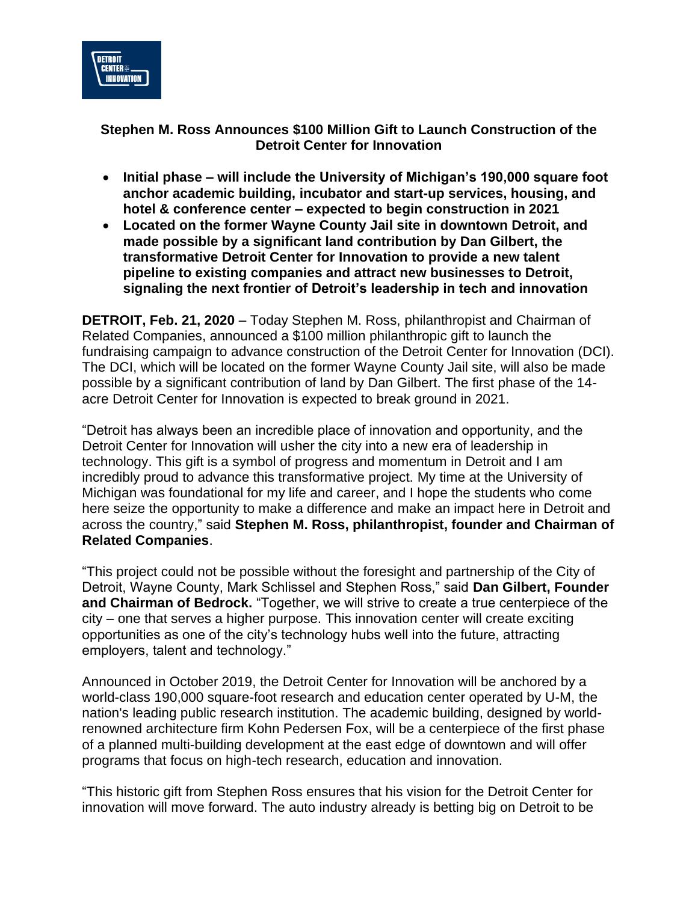

## **Stephen M. Ross Announces \$100 Million Gift to Launch Construction of the Detroit Center for Innovation**

- **Initial phase – will include the University of Michigan's 190,000 square foot anchor academic building, incubator and start-up services, housing, and hotel & conference center – expected to begin construction in 2021**
- **Located on the former Wayne County Jail site in downtown Detroit, and made possible by a significant land contribution by Dan Gilbert, the transformative Detroit Center for Innovation to provide a new talent pipeline to existing companies and attract new businesses to Detroit, signaling the next frontier of Detroit's leadership in tech and innovation**

**DETROIT, Feb. 21, 2020** – Today Stephen M. Ross, philanthropist and Chairman of Related Companies, announced a \$100 million philanthropic gift to launch the fundraising campaign to advance construction of the Detroit Center for Innovation (DCI). The DCI, which will be located on the former Wayne County Jail site, will also be made possible by a significant contribution of land by Dan Gilbert. The first phase of the 14 acre Detroit Center for Innovation is expected to break ground in 2021.

"Detroit has always been an incredible place of innovation and opportunity, and the Detroit Center for Innovation will usher the city into a new era of leadership in technology. This gift is a symbol of progress and momentum in Detroit and I am incredibly proud to advance this transformative project. My time at the University of Michigan was foundational for my life and career, and I hope the students who come here seize the opportunity to make a difference and make an impact here in Detroit and across the country," said **Stephen M. Ross, philanthropist, founder and Chairman of Related Companies**.

"This project could not be possible without the foresight and partnership of the City of Detroit, Wayne County, Mark Schlissel and Stephen Ross," said **Dan Gilbert, Founder and Chairman of Bedrock.** "Together, we will strive to create a true centerpiece of the city – one that serves a higher purpose. This innovation center will create exciting opportunities as one of the city's technology hubs well into the future, attracting employers, talent and technology."

Announced in October 2019, the Detroit Center for Innovation will be anchored by a world-class 190,000 square-foot research and education center operated by U-M, the nation's leading public research institution. The academic building, designed by worldrenowned architecture firm Kohn Pedersen Fox, will be a centerpiece of the first phase of a planned multi-building development at the east edge of downtown and will offer programs that focus on high-tech research, education and innovation.

"This historic gift from Stephen Ross ensures that his vision for the Detroit Center for innovation will move forward. The auto industry already is betting big on Detroit to be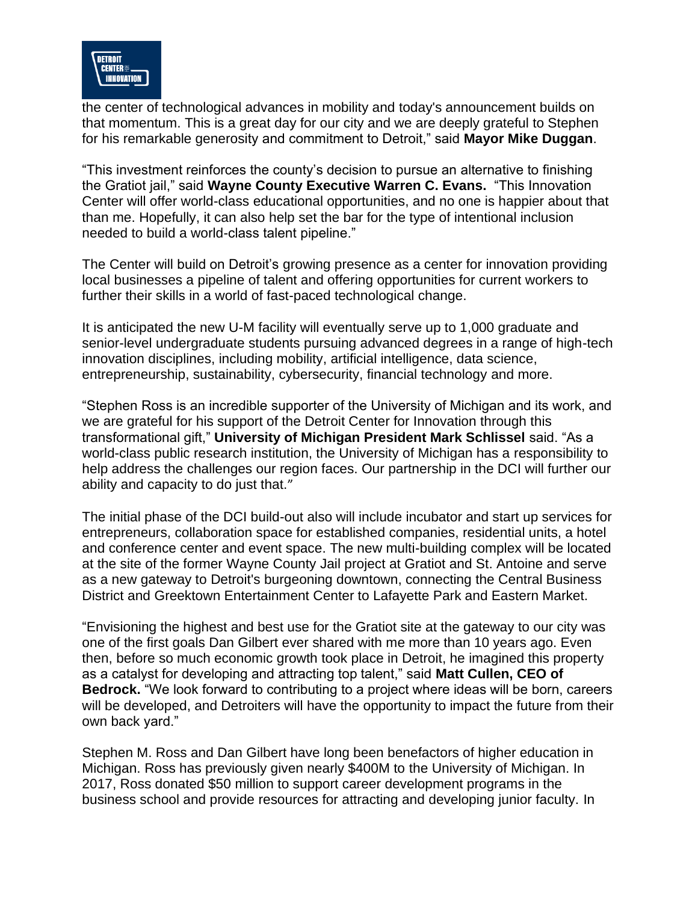

the center of technological advances in mobility and today's announcement builds on that momentum. This is a great day for our city and we are deeply grateful to Stephen for his remarkable generosity and commitment to Detroit," said **Mayor Mike Duggan**.

"This investment reinforces the county's decision to pursue an alternative to finishing the Gratiot jail," said **Wayne County Executive Warren C. Evans.** "This Innovation Center will offer world-class educational opportunities, and no one is happier about that than me. Hopefully, it can also help set the bar for the type of intentional inclusion needed to build a world-class talent pipeline."

The Center will build on Detroit's growing presence as a center for innovation providing local businesses a pipeline of talent and offering opportunities for current workers to further their skills in a world of fast-paced technological change.

It is anticipated the new U-M facility will eventually serve up to 1,000 graduate and senior-level undergraduate students pursuing advanced degrees in a range of high-tech innovation disciplines, including mobility, artificial intelligence, data science, entrepreneurship, sustainability, cybersecurity, financial technology and more.

"Stephen Ross is an incredible supporter of the University of Michigan and its work, and we are grateful for his support of the Detroit Center for Innovation through this transformational gift," **University of Michigan President Mark Schlissel** said. "As a world-class public research institution, the University of Michigan has a responsibility to help address the challenges our region faces. Our partnership in the DCI will further our ability and capacity to do just that."

The initial phase of the DCI build-out also will include incubator and start up services for entrepreneurs, collaboration space for established companies, residential units, a hotel and conference center and event space. The new multi-building complex will be located at the site of the former Wayne County Jail project at Gratiot and St. Antoine and serve as a new gateway to Detroit's burgeoning downtown, connecting the Central Business District and Greektown Entertainment Center to Lafayette Park and Eastern Market.

"Envisioning the highest and best use for the Gratiot site at the gateway to our city was one of the first goals Dan Gilbert ever shared with me more than 10 years ago. Even then, before so much economic growth took place in Detroit, he imagined this property as a catalyst for developing and attracting top talent," said **Matt Cullen, CEO of Bedrock.** "We look forward to contributing to a project where ideas will be born, careers will be developed, and Detroiters will have the opportunity to impact the future from their own back yard."

Stephen M. Ross and Dan Gilbert have long been benefactors of higher education in Michigan. Ross has previously given nearly \$400M to the University of Michigan. In 2017, Ross donated \$50 million to support career development programs in the business school and provide resources for attracting and developing junior faculty. In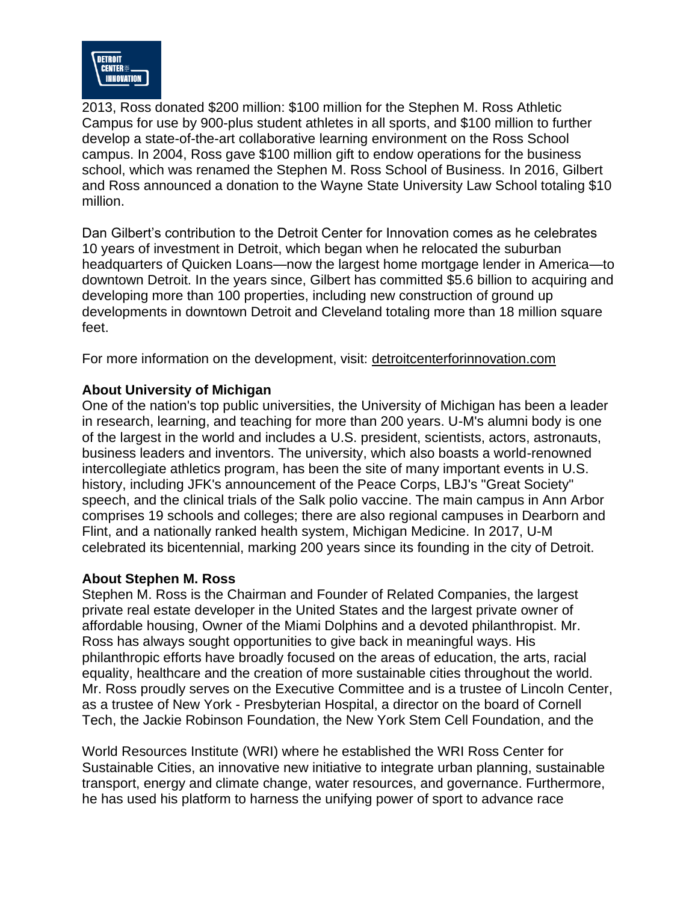

2013, Ross donated \$200 million: \$100 million for the Stephen M. Ross Athletic Campus for use by 900-plus student athletes in all sports, and \$100 million to further develop a state-of-the-art collaborative learning environment on the Ross School campus. In 2004, Ross gave \$100 million gift to endow operations for the business school, which was renamed the Stephen M. Ross School of Business. In 2016, Gilbert and Ross announced a donation to the Wayne State University Law School totaling \$10 million.

Dan Gilbert's contribution to the Detroit Center for Innovation comes as he celebrates 10 years of investment in Detroit, which began when he relocated the suburban headquarters of Quicken Loans—now the largest home mortgage lender in America—to downtown Detroit. In the years since, Gilbert has committed \$5.6 billion to acquiring and developing more than 100 properties, including new construction of ground up developments in downtown Detroit and Cleveland totaling more than 18 million square feet.

For more information on the development, visit: [detroitcenterforinnovation.com](https://detroitcenterforinnovation.com/)

## **About University of Michigan**

One of the nation's top public universities, the University of Michigan has been a leader in research, learning, and teaching for more than 200 years. U-M's alumni body is one of the largest in the world and includes a U.S. president, scientists, actors, astronauts, business leaders and inventors. The university, which also boasts a world-renowned intercollegiate athletics program, has been the site of many important events in U.S. history, including JFK's announcement of the Peace Corps, LBJ's "Great Society" speech, and the clinical trials of the Salk polio vaccine. The main campus in Ann Arbor comprises 19 schools and colleges; there are also regional campuses in Dearborn and Flint, and a nationally ranked health system, Michigan Medicine. In 2017, U-M celebrated its bicentennial, marking 200 years since its founding in the city of Detroit.

## **About Stephen M. Ross**

Stephen M. Ross is the Chairman and Founder of Related Companies, the largest private real estate developer in the United States and the largest private owner of affordable housing, Owner of the Miami Dolphins and a devoted philanthropist. Mr. Ross has always sought opportunities to give back in meaningful ways. His philanthropic efforts have broadly focused on the areas of education, the arts, racial equality, healthcare and the creation of more sustainable cities throughout the world. Mr. Ross proudly serves on the Executive Committee and is a trustee of Lincoln Center, as a trustee of New York - Presbyterian Hospital, a director on the board of Cornell Tech, the Jackie Robinson Foundation, the New York Stem Cell Foundation, and the

World Resources Institute (WRI) where he established the WRI Ross Center for Sustainable Cities, an innovative new initiative to integrate urban planning, sustainable transport, energy and climate change, water resources, and governance. Furthermore, he has used his platform to harness the unifying power of sport to advance race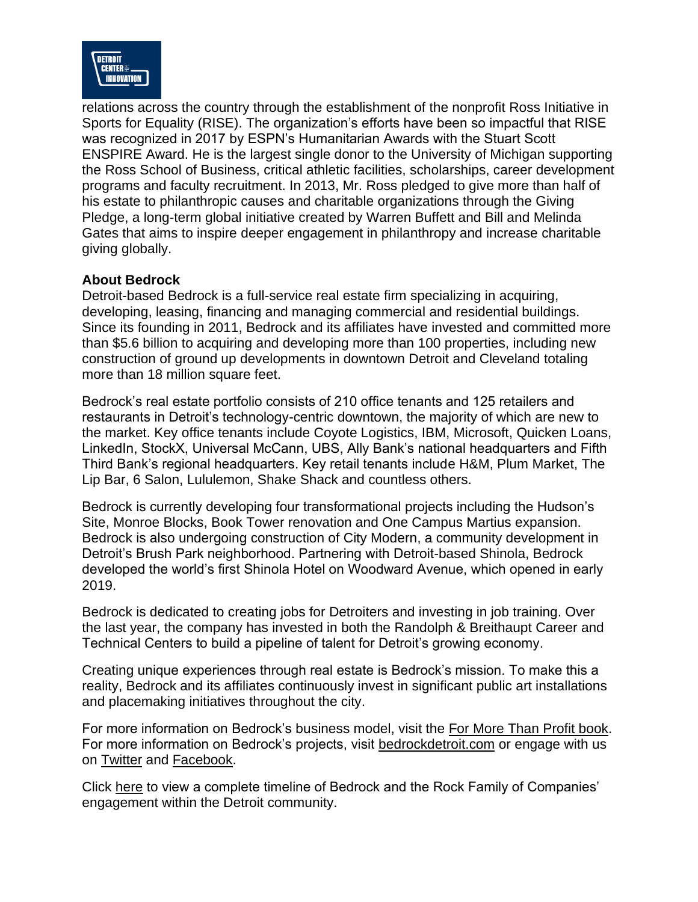

relations across the country through the establishment of the nonprofit Ross Initiative in Sports for Equality (RISE). The organization's efforts have been so impactful that RISE was recognized in 2017 by ESPN's Humanitarian Awards with the Stuart Scott ENSPIRE Award. He is the largest single donor to the University of Michigan supporting the Ross School of Business, critical athletic facilities, scholarships, career development programs and faculty recruitment. In 2013, Mr. Ross pledged to give more than half of his estate to philanthropic causes and charitable organizations through the Giving Pledge, a long-term global initiative created by Warren Buffett and Bill and Melinda Gates that aims to inspire deeper engagement in philanthropy and increase charitable giving globally.

## **About Bedrock**

Detroit-based Bedrock is a full-service real estate firm specializing in acquiring, developing, leasing, financing and managing commercial and residential buildings. Since its founding in 2011, Bedrock and its affiliates have invested and committed more than \$5.6 billion to acquiring and developing more than 100 properties, including new construction of ground up developments in downtown Detroit and Cleveland totaling more than 18 million square feet.

Bedrock's real estate portfolio consists of 210 office tenants and 125 retailers and restaurants in Detroit's technology-centric downtown, the majority of which are new to the market. Key office tenants include Coyote Logistics, IBM, Microsoft, Quicken Loans, LinkedIn, StockX, Universal McCann, UBS, Ally Bank's national headquarters and Fifth Third Bank's regional headquarters. Key retail tenants include H&M, Plum Market, The Lip Bar, 6 Salon, Lululemon, Shake Shack and countless others.

Bedrock is currently developing four transformational projects including the Hudson's Site, Monroe Blocks, Book Tower renovation and One Campus Martius expansion. Bedrock is also undergoing construction of City Modern, a community development in Detroit's Brush Park neighborhood. Partnering with Detroit-based Shinola, Bedrock developed the world's first Shinola Hotel on Woodward Avenue, which opened in early 2019.

Bedrock is dedicated to creating jobs for Detroiters and investing in job training. Over the last year, the company has invested in both the Randolph & Breithaupt Career and Technical Centers to build a pipeline of talent for Detroit's growing economy.

Creating unique experiences through real estate is Bedrock's mission. To make this a reality, Bedrock and its affiliates continuously invest in significant public art installations and placemaking initiatives throughout the city.

For more information on Bedrock's business model, visit the [For More Than Profit book.](https://rockventures.app.box.com/s/uswp0bc8k0wms95bqptg9858gimufh00/file/566931420205) For more information on Bedrock's projects, visit [bedrockdetroit.com](http://www.bedrockdetroit.com/) or engage with us on [Twitter](https://twitter.com/BedrockDetroit) and [Facebook.](https://www.facebook.com/BedrockDetroit/)

Click [here](https://p.widencdn.net/notcn1/P-DetroitEngagementTimeline-20190904) to view a complete timeline of Bedrock and the Rock Family of Companies' engagement within the Detroit community.